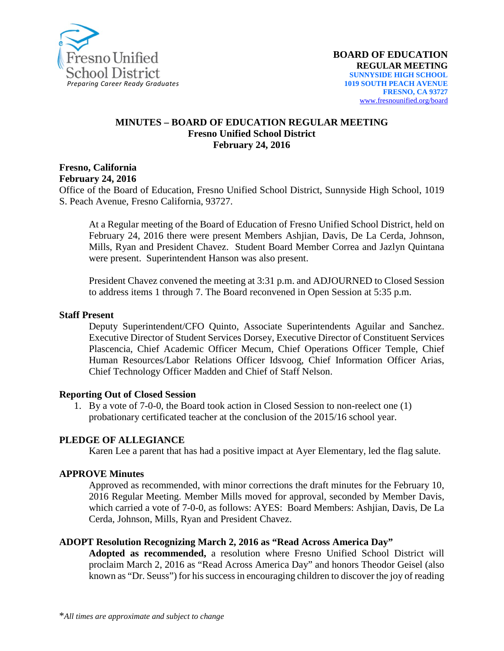

#### **MINUTES – BOARD OF EDUCATION REGULAR MEETING Fresno Unified School District February 24, 2016**

#### **Fresno, California February 24, 2016**

Office of the Board of Education, Fresno Unified School District, Sunnyside High School, 1019 S. Peach Avenue, Fresno California, 93727.

At a Regular meeting of the Board of Education of Fresno Unified School District, held on February 24, 2016 there were present Members Ashjian, Davis, De La Cerda, Johnson, Mills, Ryan and President Chavez. Student Board Member Correa and Jazlyn Quintana were present. Superintendent Hanson was also present.

President Chavez convened the meeting at 3:31 p.m. and ADJOURNED to Closed Session to address items 1 through 7. The Board reconvened in Open Session at 5:35 p.m.

#### **Staff Present**

Deputy Superintendent/CFO Quinto, Associate Superintendents Aguilar and Sanchez. Executive Director of Student Services Dorsey, Executive Director of Constituent Services Plascencia, Chief Academic Officer Mecum, Chief Operations Officer Temple, Chief Human Resources/Labor Relations Officer Idsvoog, Chief Information Officer Arias, Chief Technology Officer Madden and Chief of Staff Nelson.

#### **Reporting Out of Closed Session**

1. By a vote of 7-0-0, the Board took action in Closed Session to non-reelect one (1) probationary certificated teacher at the conclusion of the 2015/16 school year.

#### **PLEDGE OF ALLEGIANCE**

Karen Lee a parent that has had a positive impact at Ayer Elementary, led the flag salute.

#### **APPROVE Minutes**

Approved as recommended, with minor corrections the draft minutes for the February 10, 2016 Regular Meeting. Member Mills moved for approval, seconded by Member Davis, which carried a vote of 7-0-0, as follows: AYES: Board Members: Ashjian, Davis, De La Cerda, Johnson, Mills, Ryan and President Chavez.

#### **ADOPT Resolution Recognizing March 2, 2016 as "Read Across America Day"**

**Adopted as recommended,** a resolution where Fresno Unified School District will proclaim March 2, 2016 as "Read Across America Day" and honors Theodor Geisel (also known as "Dr. Seuss") for his success in encouraging children to discover the joy of reading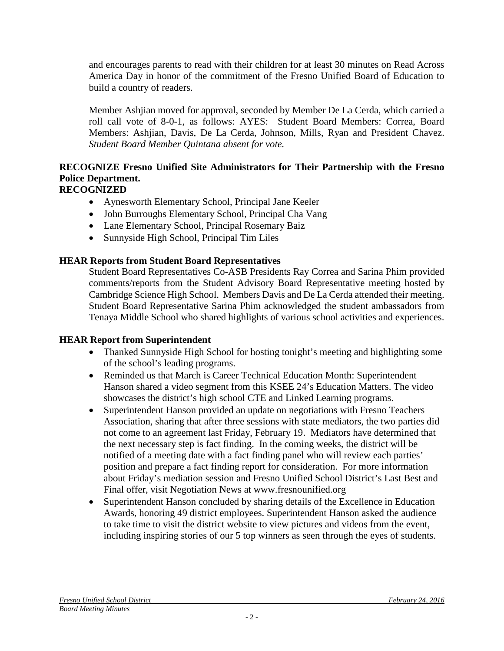and encourages parents to read with their children for at least 30 minutes on Read Across America Day in honor of the commitment of the Fresno Unified Board of Education to build a country of readers.

Member Ashjian moved for approval, seconded by Member De La Cerda, which carried a roll call vote of 8-0-1, as follows: AYES: Student Board Members: Correa, Board Members: Ashjian, Davis, De La Cerda, Johnson, Mills, Ryan and President Chavez. *Student Board Member Quintana absent for vote.*

# **RECOGNIZE Fresno Unified Site Administrators for Their Partnership with the Fresno Police Department.**

## **RECOGNIZED**

- Aynesworth Elementary School, Principal Jane Keeler
- John Burroughs Elementary School, Principal Cha Vang
- Lane Elementary School, Principal Rosemary Baiz
- Sunnyside High School, Principal Tim Liles

## **HEAR Reports from Student Board Representatives**

Student Board Representatives Co-ASB Presidents Ray Correa and Sarina Phim provided comments/reports from the Student Advisory Board Representative meeting hosted by Cambridge Science High School. Members Davis and De La Cerda attended their meeting. Student Board Representative Sarina Phim acknowledged the student ambassadors from Tenaya Middle School who shared highlights of various school activities and experiences.

## **HEAR Report from Superintendent**

- Thanked Sunnyside High School for hosting tonight's meeting and highlighting some of the school's leading programs.
- Reminded us that March is Career Technical Education Month: Superintendent Hanson shared a video segment from this KSEE 24's [Education Matters.](http://www.yourcentralvalley.com/news/education-matters-career-technical-education) The video showcases the district's high school CTE and Linked Learning programs.
- Superintendent Hanson provided an update on negotiations with Fresno Teachers Association, sharing that after three sessions with state mediators, the two parties did not come to an agreement last Friday, February 19. Mediators have determined that the next necessary step is fact finding. In the coming weeks, the district will be notified of a meeting date with a fact finding panel who will review each parties' position and prepare a fact finding report for consideration. For more information about Friday's mediation session and Fresno Unified School District's Last Best and Final offer, visit [Negotiation News](http://www.fresnounified.org/dept/hr/employees/info/Negotiation-News/Forms/For%20Webpage.aspx) at [www.fresnounified.org](http://www.fresnounified.org/)
- Superintendent Hanson concluded by sharing details of the Excellence in Education Awards, honoring 49 district employees. Superintendent Hanson asked the audience to take time to visit the district website to view [pictures](https://www.flickr.com/photos/fresnounified/albums/72157664290574480) and [videos](http://www.fresnounified.org/news/stories/Pages/20160219-eie.aspx) from the event, including inspiring stories of our 5 top winners as seen through the eyes of students.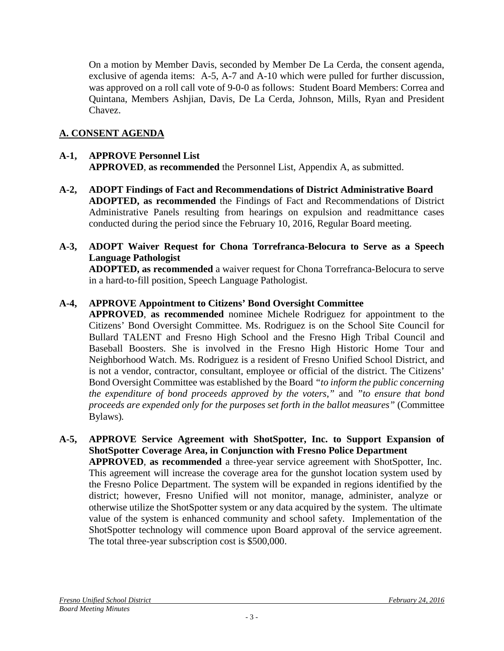On a motion by Member Davis, seconded by Member De La Cerda, the consent agenda, exclusive of agenda items: A-5, A-7 and A-10 which were pulled for further discussion, was approved on a roll call vote of 9-0-0 as follows: Student Board Members: Correa and Quintana, Members Ashjian, Davis, De La Cerda, Johnson, Mills, Ryan and President Chavez.

## **A. CONSENT AGENDA**

## **A-1, APPROVE Personnel List APPROVED**, **as recommended** the Personnel List, Appendix A, as submitted.

- **A-2, ADOPT Findings of Fact and Recommendations of District Administrative Board ADOPTED, as recommended** the Findings of Fact and Recommendations of District Administrative Panels resulting from hearings on expulsion and readmittance cases conducted during the period since the February 10, 2016, Regular Board meeting.
- **A-3, ADOPT Waiver Request for Chona Torrefranca-Belocura to Serve as a Speech Language Pathologist**

**ADOPTED, as recommended** a waiver request for Chona Torrefranca-Belocura to serve in a hard-to-fill position, Speech Language Pathologist.

## **A-4, APPROVE Appointment to Citizens' Bond Oversight Committee**

**APPROVED**, **as recommended** nominee Michele Rodriguez for appointment to the Citizens' Bond Oversight Committee. Ms. Rodriguez is on the School Site Council for Bullard TALENT and Fresno High School and the Fresno High Tribal Council and Baseball Boosters. She is involved in the Fresno High Historic Home Tour and Neighborhood Watch. Ms. Rodriguez is a resident of Fresno Unified School District, and is not a vendor, contractor, consultant, employee or official of the district. The Citizens' Bond Oversight Committee was established by the Board *"to inform the public concerning the expenditure of bond proceeds approved by the voters,"* and *"to ensure that bond proceeds are expended only for the purposes set forth in the ballot measures"* (Committee Bylaws)*.*

**A-5, APPROVE Service Agreement with ShotSpotter, Inc. to Support Expansion of ShotSpotter Coverage Area, in Conjunction with Fresno Police Department APPROVED**, **as recommended** a three-year service agreement with ShotSpotter, Inc. This agreement will increase the coverage area for the gunshot location system used by the Fresno Police Department. The system will be expanded in regions identified by the district; however, Fresno Unified will not monitor, manage, administer, analyze or otherwise utilize the ShotSpotter system or any data acquired by the system. The ultimate value of the system is enhanced community and school safety. Implementation of the ShotSpotter technology will commence upon Board approval of the service agreement. The total three-year subscription cost is \$500,000.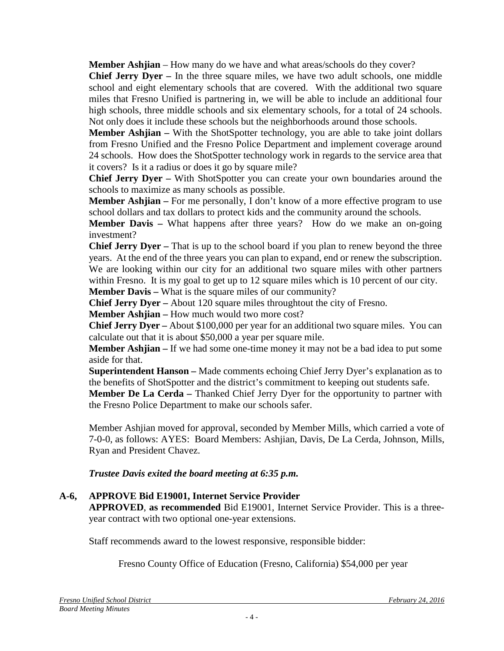**Member Ashijan** – How many do we have and what areas/schools do they cover?

**Chief Jerry Dyer –** In the three square miles, we have two adult schools, one middle school and eight elementary schools that are covered. With the additional two square miles that Fresno Unified is partnering in, we will be able to include an additional four high schools, three middle schools and six elementary schools, for a total of 24 schools. Not only does it include these schools but the neighborhoods around those schools.

**Member Ashjian** – With the ShotSpotter technology, you are able to take joint dollars from Fresno Unified and the Fresno Police Department and implement coverage around 24 schools. How does the ShotSpotter technology work in regards to the service area that it covers? Is it a radius or does it go by square mile?

**Chief Jerry Dyer –** With ShotSpotter you can create your own boundaries around the schools to maximize as many schools as possible.

**Member Ashjian** – For me personally, I don't know of a more effective program to use school dollars and tax dollars to protect kids and the community around the schools.

**Member Davis –** What happens after three years? How do we make an on-going investment?

**Chief Jerry Dyer –** That is up to the school board if you plan to renew beyond the three years. At the end of the three years you can plan to expand, end or renew the subscription. We are looking within our city for an additional two square miles with other partners within Fresno. It is my goal to get up to 12 square miles which is 10 percent of our city.

**Member Davis –** What is the square miles of our community?

**Chief Jerry Dyer –** About 120 square miles throughtout the city of Fresno.

**Member Ashjian –** How much would two more cost?

**Chief Jerry Dyer –** About \$100,000 per year for an additional two square miles. You can calculate out that it is about \$50,000 a year per square mile.

**Member Ashjian –** If we had some one-time money it may not be a bad idea to put some aside for that.

**Superintendent Hanson –** Made comments echoing Chief Jerry Dyer's explanation as to the benefits of ShotSpotter and the district's commitment to keeping out students safe.

**Member De La Cerda –** Thanked Chief Jerry Dyer for the opportunity to partner with the Fresno Police Department to make our schools safer.

Member Ashjian moved for approval, seconded by Member Mills, which carried a vote of 7-0-0, as follows: AYES: Board Members: Ashjian, Davis, De La Cerda, Johnson, Mills, Ryan and President Chavez.

*Trustee Davis exited the board meeting at 6:35 p.m.*

## **A-6, APPROVE Bid E19001, Internet Service Provider**

**APPROVED**, **as recommended** Bid E19001, Internet Service Provider. This is a threeyear contract with two optional one-year extensions.

Staff recommends award to the lowest responsive, responsible bidder:

Fresno County Office of Education (Fresno, California) \$54,000 per year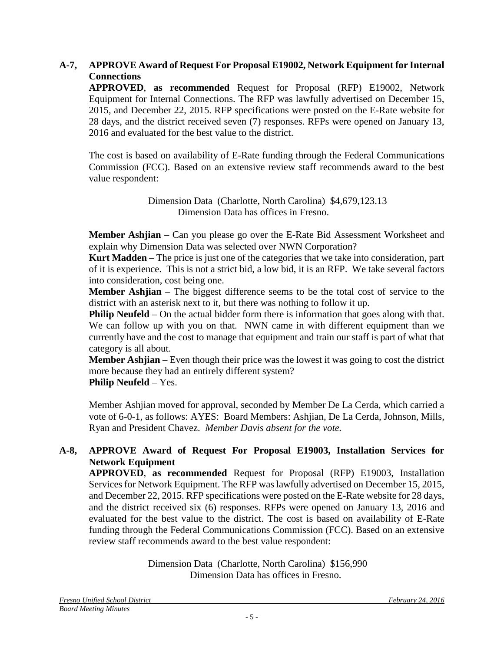### **A-7, APPROVE Award of Request For Proposal E19002, Network Equipment for Internal Connections**

**APPROVED**, **as recommended** Request for Proposal (RFP) E19002, Network Equipment for Internal Connections. The RFP was lawfully advertised on December 15, 2015, and December 22, 2015. RFP specifications were posted on the E-Rate website for 28 days, and the district received seven (7) responses. RFPs were opened on January 13, 2016 and evaluated for the best value to the district.

The cost is based on availability of E-Rate funding through the Federal Communications Commission (FCC). Based on an extensive review staff recommends award to the best value respondent:

> Dimension Data (Charlotte, North Carolina) \$4,679,123.13 Dimension Data has offices in Fresno.

**Member Ashjian** – Can you please go over the E-Rate Bid Assessment Worksheet and explain why Dimension Data was selected over NWN Corporation?

**Kurt Madden** – The price is just one of the categories that we take into consideration, part of it is experience. This is not a strict bid, a low bid, it is an RFP. We take several factors into consideration, cost being one.

**Member Ashjian** – The biggest difference seems to be the total cost of service to the district with an asterisk next to it, but there was nothing to follow it up.

**Philip Neufeld** – On the actual bidder form there is information that goes along with that. We can follow up with you on that. NWN came in with different equipment than we currently have and the cost to manage that equipment and train our staff is part of what that category is all about.

**Member Ashjian** – Even though their price was the lowest it was going to cost the district more because they had an entirely different system?

**Philip Neufeld** – Yes.

Member Ashjian moved for approval, seconded by Member De La Cerda, which carried a vote of 6-0-1, as follows: AYES: Board Members: Ashjian, De La Cerda, Johnson, Mills, Ryan and President Chavez. *Member Davis absent for the vote.*

## **A-8, APPROVE Award of Request For Proposal E19003, Installation Services for Network Equipment**

**APPROVED**, **as recommended** Request for Proposal (RFP) E19003, Installation Services for Network Equipment. The RFP was lawfully advertised on December 15, 2015, and December 22, 2015. RFP specifications were posted on the E-Rate website for 28 days, and the district received six (6) responses. RFPs were opened on January 13, 2016 and evaluated for the best value to the district. The cost is based on availability of E-Rate funding through the Federal Communications Commission (FCC). Based on an extensive review staff recommends award to the best value respondent:

> Dimension Data (Charlotte, North Carolina) \$156,990 Dimension Data has offices in Fresno.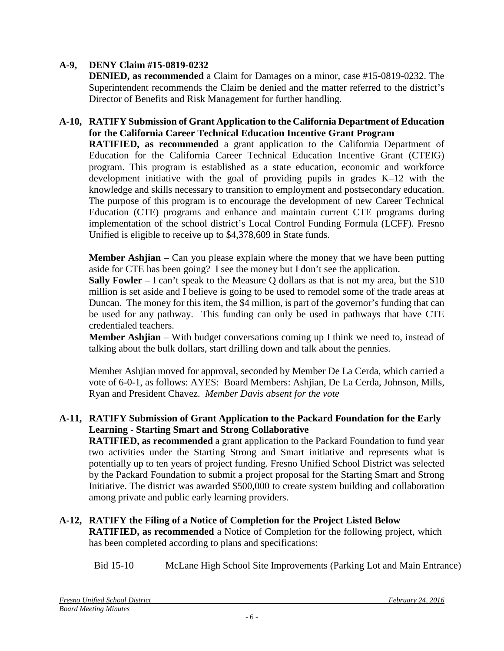## **A-9, DENY Claim #15-0819-0232**

**DENIED, as recommended** a Claim for Damages on a minor, case #15-0819-0232. The Superintendent recommends the Claim be denied and the matter referred to the district's Director of Benefits and Risk Management for further handling.

## **A-10, RATIFY Submission of Grant Application to the California Department of Education for the California Career Technical Education Incentive Grant Program**

**RATIFIED, as recommended** a grant application to the California Department of Education for the California Career Technical Education Incentive Grant (CTEIG) program. This program is established as a state education, economic and workforce development initiative with the goal of providing pupils in grades K–12 with the knowledge and skills necessary to transition to employment and postsecondary education. The purpose of this program is to encourage the development of new Career Technical Education (CTE) programs and enhance and maintain current CTE programs during implementation of the school district's Local Control Funding Formula (LCFF). Fresno Unified is eligible to receive up to \$4,378,609 in State funds.

**Member Ashjian** – Can you please explain where the money that we have been putting aside for CTE has been going? I see the money but I don't see the application.

**Sally Fowler** – I can't speak to the Measure Q dollars as that is not my area, but the \$10 million is set aside and I believe is going to be used to remodel some of the trade areas at Duncan. The money for this item, the \$4 million, is part of the governor's funding that can be used for any pathway. This funding can only be used in pathways that have CTE credentialed teachers.

**Member Ashjian** – With budget conversations coming up I think we need to, instead of talking about the bulk dollars, start drilling down and talk about the pennies.

Member Ashjian moved for approval, seconded by Member De La Cerda, which carried a vote of 6-0-1, as follows: AYES: Board Members: Ashjian, De La Cerda, Johnson, Mills, Ryan and President Chavez. *Member Davis absent for the vote*

#### **A-11, RATIFY Submission of Grant Application to the Packard Foundation for the Early Learning - Starting Smart and Strong Collaborative**

**RATIFIED, as recommended** a grant application to the Packard Foundation to fund year two activities under the Starting Strong and Smart initiative and represents what is potentially up to ten years of project funding. Fresno Unified School District was selected by the Packard Foundation to submit a project proposal for the Starting Smart and Strong Initiative. The district was awarded \$500,000 to create system building and collaboration among private and public early learning providers.

## **A-12, RATIFY the Filing of a Notice of Completion for the Project Listed Below**

**RATIFIED, as recommended** a Notice of Completion for the following project, which has been completed according to plans and specifications:

Bid 15-10 McLane High School Site Improvements (Parking Lot and Main Entrance)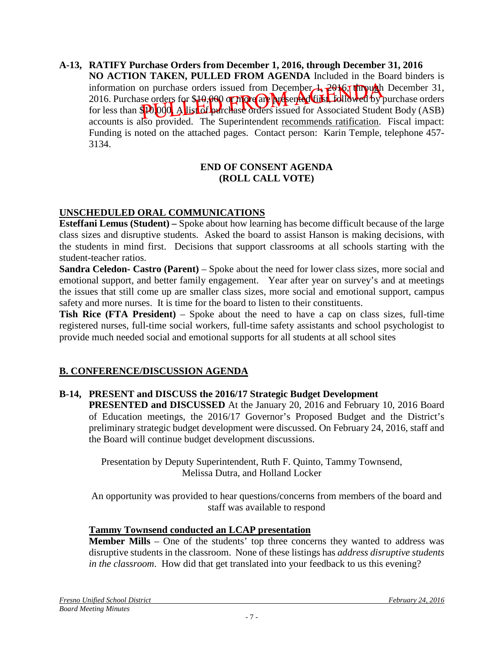**A-13, RATIFY Purchase Orders from December 1, 2016, through December 31, 2016 NO ACTION TAKEN, PULLED FROM AGENDA** Included in the Board binders is information on purchase orders issued from December  $\lambda$ ,  $2016$ , through December 31, 2016. Purchase orders for \$19,000 or more are presented this Lidit wed by purchase orders for less than  $\mathbb{R}$   $\lceil 0.00 \rceil$  A list of purchase orders issued for Associated Student Body (ASB) accounts is also provided. The Superintendent recommends ratification. Fiscal impact: Funding is noted on the attached pages. Contact person: Karin Temple, telephone 457- 3134.

#### **END OF CONSENT AGENDA (ROLL CALL VOTE)**

## **UNSCHEDULED ORAL COMMUNICATIONS**

**Esteffani Lemus (Student) –** Spoke about how learning has become difficult because of the large class sizes and disruptive students. Asked the board to assist Hanson is making decisions, with the students in mind first. Decisions that support classrooms at all schools starting with the student-teacher ratios.

**Sandra Celedon- Castro (Parent)** – Spoke about the need for lower class sizes, more social and emotional support, and better family engagement. Year after year on survey's and at meetings the issues that still come up are smaller class sizes, more social and emotional support, campus safety and more nurses. It is time for the board to listen to their constituents.

**Tish Rice (FTA President)** – Spoke about the need to have a cap on class sizes, full-time registered nurses, full-time social workers, full-time safety assistants and school psychologist to provide much needed social and emotional supports for all students at all school sites

## **B. CONFERENCE/DISCUSSION AGENDA**

#### **B-14, PRESENT and DISCUSS the 2016/17 Strategic Budget Development**

**PRESENTED and DISCUSSED** At the January 20, 2016 and February 10, 2016 Board of Education meetings, the 2016/17 Governor's Proposed Budget and the District's preliminary strategic budget development were discussed. On February 24, 2016, staff and the Board will continue budget development discussions.

Presentation by Deputy Superintendent, Ruth F. Quinto, Tammy Townsend, Melissa Dutra, and Holland Locker

An opportunity was provided to hear questions/concerns from members of the board and staff was available to respond

#### **Tammy Townsend conducted an LCAP presentation**

**Member Mills** – One of the students' top three concerns they wanted to address was disruptive students in the classroom. None of these listings has *address disruptive students in the classroom*. How did that get translated into your feedback to us this evening?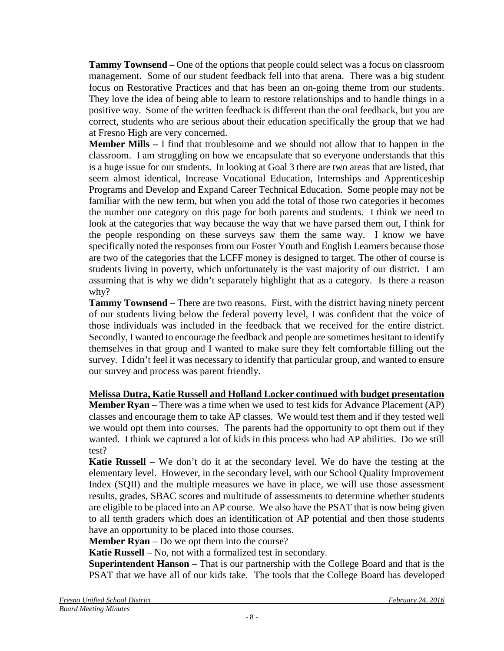**Tammy Townsend –** One of the options that people could select was a focus on classroom management. Some of our student feedback fell into that arena. There was a big student focus on Restorative Practices and that has been an on-going theme from our students. They love the idea of being able to learn to restore relationships and to handle things in a positive way. Some of the written feedback is different than the oral feedback, but you are correct, students who are serious about their education specifically the group that we had at Fresno High are very concerned.

**Member Mills –** I find that troublesome and we should not allow that to happen in the classroom. I am struggling on how we encapsulate that so everyone understands that this is a huge issue for our students. In looking at Goal 3 there are two areas that are listed, that seem almost identical, Increase Vocational Education, Internships and Apprenticeship Programs and Develop and Expand Career Technical Education. Some people may not be familiar with the new term, but when you add the total of those two categories it becomes the number one category on this page for both parents and students. I think we need to look at the categories that way because the way that we have parsed them out, I think for the people responding on these surveys saw them the same way. I know we have specifically noted the responses from our Foster Youth and English Learners because those are two of the categories that the LCFF money is designed to target. The other of course is students living in poverty, which unfortunately is the vast majority of our district. I am assuming that is why we didn't separately highlight that as a category. Is there a reason why?

**Tammy Townsend** – There are two reasons. First, with the district having ninety percent of our students living below the federal poverty level, I was confident that the voice of those individuals was included in the feedback that we received for the entire district. Secondly, I wanted to encourage the feedback and people are sometimes hesitant to identify themselves in that group and I wanted to make sure they felt comfortable filling out the survey. I didn't feel it was necessary to identify that particular group, and wanted to ensure our survey and process was parent friendly.

## **Melissa Dutra, Katie Russell and Holland Locker continued with budget presentation**

**Member Ryan** – There was a time when we used to test kids for Advance Placement (AP) classes and encourage them to take AP classes. We would test them and if they tested well we would opt them into courses. The parents had the opportunity to opt them out if they wanted. I think we captured a lot of kids in this process who had AP abilities. Do we still test?

**Katie Russell** – We don't do it at the secondary level. We do have the testing at the elementary level. However, in the secondary level, with our School Quality Improvement Index (SQII) and the multiple measures we have in place, we will use those assessment results, grades, SBAC scores and multitude of assessments to determine whether students are eligible to be placed into an AP course. We also have the PSAT that is now being given to all tenth graders which does an identification of AP potential and then those students have an opportunity to be placed into those courses.

**Member Ryan** – Do we opt them into the course?

**Katie Russell** – No, not with a formalized test in secondary.

**Superintendent Hanson** – That is our partnership with the College Board and that is the PSAT that we have all of our kids take. The tools that the College Board has developed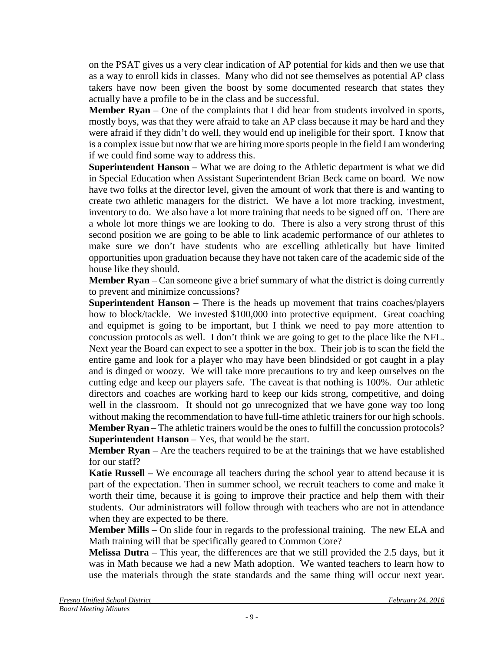on the PSAT gives us a very clear indication of AP potential for kids and then we use that as a way to enroll kids in classes. Many who did not see themselves as potential AP class takers have now been given the boost by some documented research that states they actually have a profile to be in the class and be successful.

**Member Ryan** – One of the complaints that I did hear from students involved in sports, mostly boys, was that they were afraid to take an AP class because it may be hard and they were afraid if they didn't do well, they would end up ineligible for their sport. I know that is a complex issue but now that we are hiring more sports people in the field I am wondering if we could find some way to address this.

**Superintendent Hanson** – What we are doing to the Athletic department is what we did in Special Education when Assistant Superintendent Brian Beck came on board. We now have two folks at the director level, given the amount of work that there is and wanting to create two athletic managers for the district. We have a lot more tracking, investment, inventory to do. We also have a lot more training that needs to be signed off on. There are a whole lot more things we are looking to do. There is also a very strong thrust of this second position we are going to be able to link academic performance of our athletes to make sure we don't have students who are excelling athletically but have limited opportunities upon graduation because they have not taken care of the academic side of the house like they should.

**Member Ryan** – Can someone give a brief summary of what the district is doing currently to prevent and minimize concussions?

**Superintendent Hanson** – There is the heads up movement that trains coaches/players how to block/tackle. We invested \$100,000 into protective equipment. Great coaching and equipmet is going to be important, but I think we need to pay more attention to concussion protocols as well. I don't think we are going to get to the place like the NFL. Next year the Board can expect to see a spotter in the box. Their job is to scan the field the entire game and look for a player who may have been blindsided or got caught in a play and is dinged or woozy. We will take more precautions to try and keep ourselves on the cutting edge and keep our players safe. The caveat is that nothing is 100%. Our athletic directors and coaches are working hard to keep our kids strong, competitive, and doing well in the classroom. It should not go unrecognized that we have gone way too long without making the recommendation to have full-time athletic trainers for our high schools. **Member Ryan** – The athletic trainers would be the ones to fulfill the concussion protocols? **Superintendent Hanson** – Yes, that would be the start.

**Member Ryan** – Are the teachers required to be at the trainings that we have established for our staff?

**Katie Russell** – We encourage all teachers during the school year to attend because it is part of the expectation. Then in summer school, we recruit teachers to come and make it worth their time, because it is going to improve their practice and help them with their students. Our administrators will follow through with teachers who are not in attendance when they are expected to be there.

**Member Mills** – On slide four in regards to the professional training. The new ELA and Math training will that be specifically geared to Common Core?

**Melissa Dutra** – This year, the differences are that we still provided the 2.5 days, but it was in Math because we had a new Math adoption. We wanted teachers to learn how to use the materials through the state standards and the same thing will occur next year.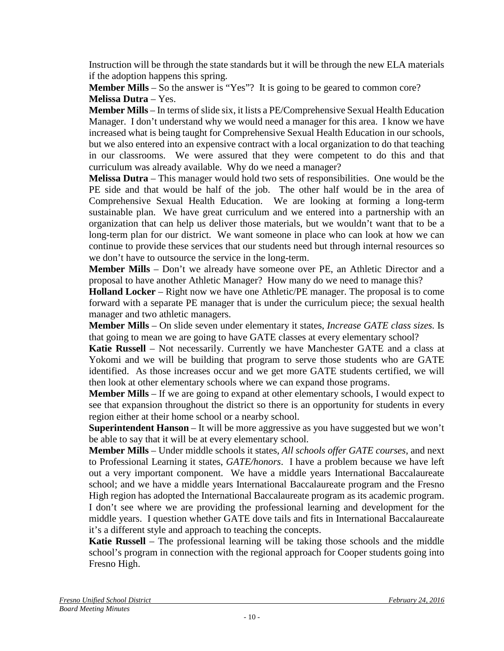Instruction will be through the state standards but it will be through the new ELA materials if the adoption happens this spring.

**Member Mills** – So the answer is "Yes"? It is going to be geared to common core? **Melissa Dutra** – Yes.

**Member Mills** – In terms of slide six, it lists a PE/Comprehensive Sexual Health Education Manager. I don't understand why we would need a manager for this area. I know we have increased what is being taught for Comprehensive Sexual Health Education in our schools, but we also entered into an expensive contract with a local organization to do that teaching in our classrooms. We were assured that they were competent to do this and that curriculum was already available. Why do we need a manager?

**Melissa Dutra** – This manager would hold two sets of responsibilities. One would be the PE side and that would be half of the job. The other half would be in the area of Comprehensive Sexual Health Education. We are looking at forming a long-term sustainable plan. We have great curriculum and we entered into a partnership with an organization that can help us deliver those materials, but we wouldn't want that to be a long-term plan for our district. We want someone in place who can look at how we can continue to provide these services that our students need but through internal resources so we don't have to outsource the service in the long-term.

**Member Mills** – Don't we already have someone over PE, an Athletic Director and a proposal to have another Athletic Manager? How many do we need to manage this?

**Holland Locker** – Right now we have one Athletic/PE manager. The proposal is to come forward with a separate PE manager that is under the curriculum piece; the sexual health manager and two athletic managers.

**Member Mills** – On slide seven under elementary it states, *Increase GATE class sizes.* Is that going to mean we are going to have GATE classes at every elementary school?

**Katie Russell** – Not necessarily. Currently we have Manchester GATE and a class at Yokomi and we will be building that program to serve those students who are GATE identified. As those increases occur and we get more GATE students certified, we will then look at other elementary schools where we can expand those programs.

**Member Mills** – If we are going to expand at other elementary schools, I would expect to see that expansion throughout the district so there is an opportunity for students in every region either at their home school or a nearby school.

**Superintendent Hanson** – It will be more aggressive as you have suggested but we won't be able to say that it will be at every elementary school.

**Member Mills** – Under middle schools it states, *All schools offer GATE courses*, and next to Professional Learning it states, *GATE/honors*. I have a problem because we have left out a very important component. We have a middle years International Baccalaureate school; and we have a middle years International Baccalaureate program and the Fresno High region has adopted the International Baccalaureate program as its academic program. I don't see where we are providing the professional learning and development for the middle years. I question whether GATE dove tails and fits in International Baccalaureate it's a different style and approach to teaching the concepts.

**Katie Russell** – The professional learning will be taking those schools and the middle school's program in connection with the regional approach for Cooper students going into Fresno High.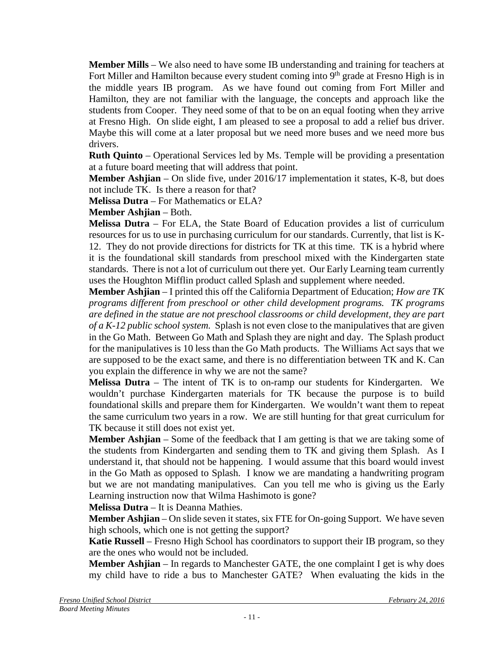**Member Mills** – We also need to have some IB understanding and training for teachers at Fort Miller and Hamilton because every student coming into  $9<sup>th</sup>$  grade at Fresno High is in the middle years IB program. As we have found out coming from Fort Miller and Hamilton, they are not familiar with the language, the concepts and approach like the students from Cooper. They need some of that to be on an equal footing when they arrive at Fresno High. On slide eight, I am pleased to see a proposal to add a relief bus driver. Maybe this will come at a later proposal but we need more buses and we need more bus drivers.

**Ruth Quinto** – Operational Services led by Ms. Temple will be providing a presentation at a future board meeting that will address that point.

**Member Ashjian** – On slide five, under 2016/17 implementation it states, K-8, but does not include TK. Is there a reason for that?

**Melissa Dutra** – For Mathematics or ELA?

**Member Ashjian** – Both.

**Melissa Dutra** – For ELA, the State Board of Education provides a list of curriculum resources for us to use in purchasing curriculum for our standards. Currently, that list is K-12. They do not provide directions for districts for TK at this time. TK is a hybrid where it is the foundational skill standards from preschool mixed with the Kindergarten state standards. There is not a lot of curriculum out there yet. Our Early Learning team currently uses the Houghton Mifflin product called Splash and supplement where needed.

**Member Ashjian** – I printed this off the California Department of Education; *How are TK programs different from preschool or other child development programs. TK programs are defined in the statue are not preschool classrooms or child development, they are part of a K-12 public school system.* Splash is not even close to the manipulatives that are given in the Go Math. Between Go Math and Splash they are night and day. The Splash product for the manipulatives is 10 less than the Go Math products. The Williams Act says that we are supposed to be the exact same, and there is no differentiation between TK and K. Can you explain the difference in why we are not the same?

**Melissa Dutra** – The intent of TK is to on-ramp our students for Kindergarten. We wouldn't purchase Kindergarten materials for TK because the purpose is to build foundational skills and prepare them for Kindergarten. We wouldn't want them to repeat the same curriculum two years in a row. We are still hunting for that great curriculum for TK because it still does not exist yet.

**Member Ashjian** – Some of the feedback that I am getting is that we are taking some of the students from Kindergarten and sending them to TK and giving them Splash. As I understand it, that should not be happening. I would assume that this board would invest in the Go Math as opposed to Splash. I know we are mandating a handwriting program but we are not mandating manipulatives. Can you tell me who is giving us the Early Learning instruction now that Wilma Hashimoto is gone?

**Melissa Dutra** – It is Deanna Mathies.

**Member Ashjian** – On slide seven it states, six FTE for On-going Support. We have seven high schools, which one is not getting the support?

**Katie Russell** – Fresno High School has coordinators to support their IB program, so they are the ones who would not be included.

**Member Ashjian** – In regards to Manchester GATE, the one complaint I get is why does my child have to ride a bus to Manchester GATE? When evaluating the kids in the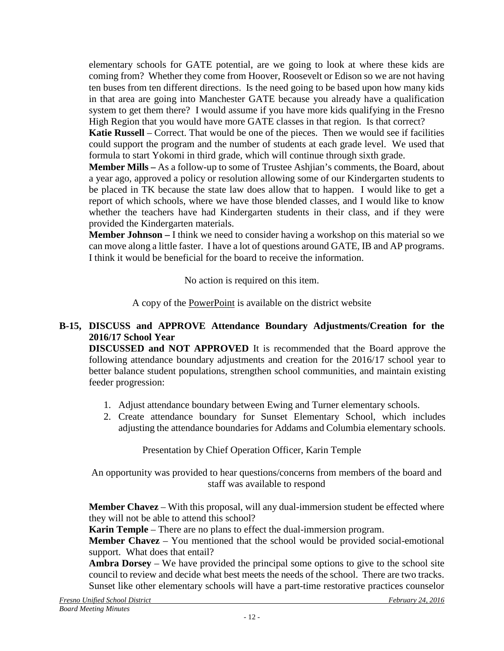elementary schools for GATE potential, are we going to look at where these kids are coming from? Whether they come from Hoover, Roosevelt or Edison so we are not having ten buses from ten different directions. Is the need going to be based upon how many kids in that area are going into Manchester GATE because you already have a qualification system to get them there? I would assume if you have more kids qualifying in the Fresno High Region that you would have more GATE classes in that region. Is that correct?

**Katie Russell** – Correct. That would be one of the pieces. Then we would see if facilities could support the program and the number of students at each grade level. We used that formula to start Yokomi in third grade, which will continue through sixth grade.

**Member Mills –** As a follow-up to some of Trustee Ashjian's comments, the Board, about a year ago, approved a policy or resolution allowing some of our Kindergarten students to be placed in TK because the state law does allow that to happen. I would like to get a report of which schools, where we have those blended classes, and I would like to know whether the teachers have had Kindergarten students in their class, and if they were provided the Kindergarten materials.

**Member Johnson –** I think we need to consider having a workshop on this material so we can move along a little faster. I have a lot of questions around GATE, IB and AP programs. I think it would be beneficial for the board to receive the information.

No action is required on this item.

A copy of the PowerPoint is available on the district website

## **B-15, DISCUSS and APPROVE Attendance Boundary Adjustments/Creation for the 2016/17 School Year**

**DISCUSSED and NOT APPROVED** It is recommended that the Board approve the following attendance boundary adjustments and creation for the 2016/17 school year to better balance student populations, strengthen school communities, and maintain existing feeder progression:

- 1. Adjust attendance boundary between Ewing and Turner elementary schools.
- 2. Create attendance boundary for Sunset Elementary School, which includes adjusting the attendance boundaries for Addams and Columbia elementary schools.

Presentation by Chief Operation Officer, Karin Temple

An opportunity was provided to hear questions/concerns from members of the board and staff was available to respond

**Member Chavez** – With this proposal, will any dual-immersion student be effected where they will not be able to attend this school?

**Karin Temple** – There are no plans to effect the dual-immersion program.

**Member Chavez** – You mentioned that the school would be provided social-emotional support. What does that entail?

**Ambra Dorsey** – We have provided the principal some options to give to the school site council to review and decide what best meets the needs of the school. There are two tracks. Sunset like other elementary schools will have a part-time restorative practices counselor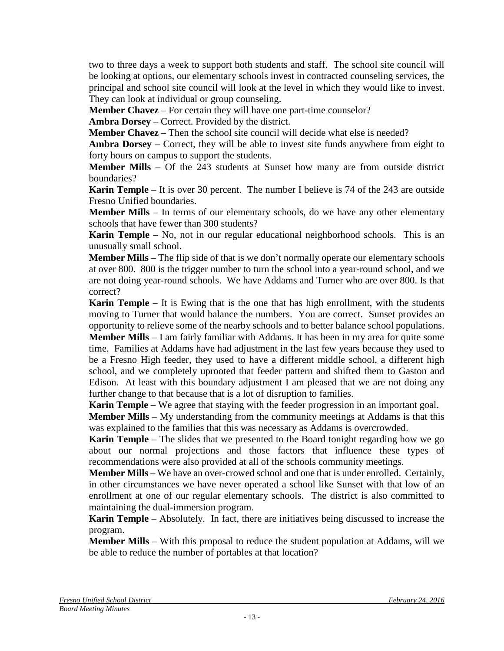two to three days a week to support both students and staff. The school site council will be looking at options, our elementary schools invest in contracted counseling services, the principal and school site council will look at the level in which they would like to invest. They can look at individual or group counseling.

**Member Chavez** – For certain they will have one part-time counselor?

**Ambra Dorsey** – Correct. Provided by the district.

**Member Chavez** – Then the school site council will decide what else is needed?

**Ambra Dorsey** – Correct, they will be able to invest site funds anywhere from eight to forty hours on campus to support the students.

**Member Mills** – Of the 243 students at Sunset how many are from outside district boundaries?

**Karin Temple** – It is over 30 percent. The number I believe is 74 of the 243 are outside Fresno Unified boundaries.

**Member Mills** – In terms of our elementary schools, do we have any other elementary schools that have fewer than 300 students?

**Karin Temple** – No, not in our regular educational neighborhood schools. This is an unusually small school.

**Member Mills** – The flip side of that is we don't normally operate our elementary schools at over 800. 800 is the trigger number to turn the school into a year-round school, and we are not doing year-round schools. We have Addams and Turner who are over 800. Is that correct?

**Karin Temple** – It is Ewing that is the one that has high enrollment, with the students moving to Turner that would balance the numbers. You are correct. Sunset provides an opportunity to relieve some of the nearby schools and to better balance school populations. **Member Mills** – I am fairly familiar with Addams. It has been in my area for quite some time. Families at Addams have had adjustment in the last few years because they used to be a Fresno High feeder, they used to have a different middle school, a different high school, and we completely uprooted that feeder pattern and shifted them to Gaston and Edison. At least with this boundary adjustment I am pleased that we are not doing any further change to that because that is a lot of disruption to families.

**Karin Temple** – We agree that staying with the feeder progression in an important goal.

**Member Mills** – My understanding from the community meetings at Addams is that this was explained to the families that this was necessary as Addams is overcrowded.

**Karin Temple** – The slides that we presented to the Board tonight regarding how we go about our normal projections and those factors that influence these types of recommendations were also provided at all of the schools community meetings.

**Member Mills** – We have an over-crowed school and one that is under enrolled. Certainly, in other circumstances we have never operated a school like Sunset with that low of an enrollment at one of our regular elementary schools. The district is also committed to maintaining the dual-immersion program.

**Karin Temple** – Absolutely. In fact, there are initiatives being discussed to increase the program.

**Member Mills** – With this proposal to reduce the student population at Addams, will we be able to reduce the number of portables at that location?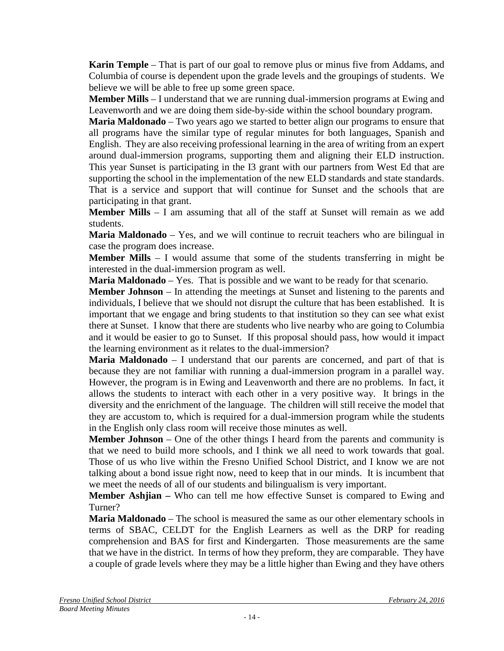**Karin Temple** – That is part of our goal to remove plus or minus five from Addams, and Columbia of course is dependent upon the grade levels and the groupings of students. We believe we will be able to free up some green space.

**Member Mills** – I understand that we are running dual-immersion programs at Ewing and Leavenworth and we are doing them side-by-side within the school boundary program.

**Maria Maldonado** – Two years ago we started to better align our programs to ensure that all programs have the similar type of regular minutes for both languages, Spanish and English. They are also receiving professional learning in the area of writing from an expert around dual-immersion programs, supporting them and aligning their ELD instruction. This year Sunset is participating in the I3 grant with our partners from West Ed that are supporting the school in the implementation of the new ELD standards and state standards. That is a service and support that will continue for Sunset and the schools that are participating in that grant.

**Member Mills** – I am assuming that all of the staff at Sunset will remain as we add students.

**Maria Maldonado** – Yes, and we will continue to recruit teachers who are bilingual in case the program does increase.

**Member Mills** – I would assume that some of the students transferring in might be interested in the dual-immersion program as well.

**Maria Maldonado** – Yes. That is possible and we want to be ready for that scenario.

**Member Johnson** – In attending the meetings at Sunset and listening to the parents and individuals, I believe that we should not disrupt the culture that has been established. It is important that we engage and bring students to that institution so they can see what exist there at Sunset. I know that there are students who live nearby who are going to Columbia and it would be easier to go to Sunset. If this proposal should pass, how would it impact the learning environment as it relates to the dual-immersion?

**Maria Maldonado** – I understand that our parents are concerned, and part of that is because they are not familiar with running a dual-immersion program in a parallel way. However, the program is in Ewing and Leavenworth and there are no problems. In fact, it allows the students to interact with each other in a very positive way. It brings in the diversity and the enrichment of the language. The children will still receive the model that they are accustom to, which is required for a dual-immersion program while the students in the English only class room will receive those minutes as well.

**Member Johnson** – One of the other things I heard from the parents and community is that we need to build more schools, and I think we all need to work towards that goal. Those of us who live within the Fresno Unified School District, and I know we are not talking about a bond issue right now, need to keep that in our minds. It is incumbent that we meet the needs of all of our students and bilingualism is very important.

**Member Ashjian –** Who can tell me how effective Sunset is compared to Ewing and Turner?

**Maria Maldonado** – The school is measured the same as our other elementary schools in terms of SBAC, CELDT for the English Learners as well as the DRP for reading comprehension and BAS for first and Kindergarten. Those measurements are the same that we have in the district. In terms of how they preform, they are comparable. They have a couple of grade levels where they may be a little higher than Ewing and they have others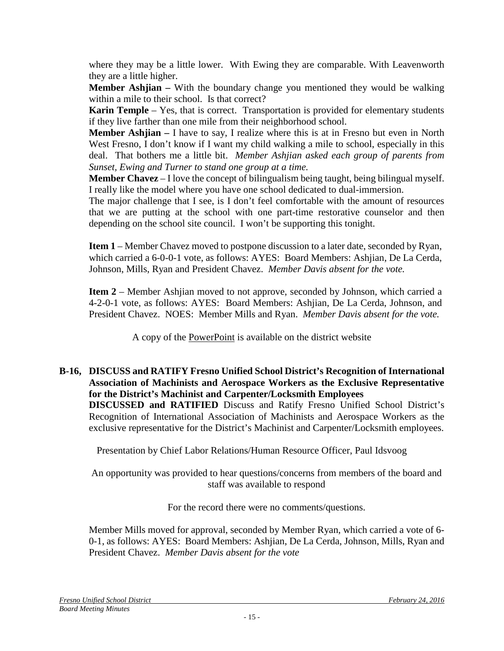where they may be a little lower. With Ewing they are comparable. With Leavenworth they are a little higher.

**Member Ashjian –** With the boundary change you mentioned they would be walking within a mile to their school. Is that correct?

**Karin Temple** – Yes, that is correct. Transportation is provided for elementary students if they live farther than one mile from their neighborhood school.

**Member Ashjian –** I have to say, I realize where this is at in Fresno but even in North West Fresno, I don't know if I want my child walking a mile to school, especially in this deal. That bothers me a little bit. *Member Ashjian asked each group of parents from Sunset, Ewing and Turner to stand one group at a time.*

**Member Chavez** – I love the concept of bilingualism being taught, being bilingual myself. I really like the model where you have one school dedicated to dual-immersion.

The major challenge that I see, is I don't feel comfortable with the amount of resources that we are putting at the school with one part-time restorative counselor and then depending on the school site council. I won't be supporting this tonight.

**Item 1** – Member Chavez moved to postpone discussion to a later date, seconded by Ryan, which carried a 6-0-0-1 vote, as follows: AYES: Board Members: Ashjian, De La Cerda, Johnson, Mills, Ryan and President Chavez. *Member Davis absent for the vote.*

**Item 2** – Member Ashjian moved to not approve, seconded by Johnson, which carried a 4-2-0-1 vote, as follows: AYES: Board Members: Ashjian, De La Cerda, Johnson, and President Chavez. NOES: Member Mills and Ryan. *Member Davis absent for the vote.*

A copy of the PowerPoint is available on the district website

#### **B-16, DISCUSS and RATIFY Fresno Unified School District's Recognition of International Association of Machinists and Aerospace Workers as the Exclusive Representative for the District's Machinist and Carpenter/Locksmith Employees**

**DISCUSSED and RATIFIED** Discuss and Ratify Fresno Unified School District's Recognition of International Association of Machinists and Aerospace Workers as the exclusive representative for the District's Machinist and Carpenter/Locksmith employees.

Presentation by Chief Labor Relations/Human Resource Officer, Paul Idsvoog

An opportunity was provided to hear questions/concerns from members of the board and staff was available to respond

For the record there were no comments/questions.

Member Mills moved for approval, seconded by Member Ryan, which carried a vote of 6- 0-1, as follows: AYES: Board Members: Ashjian, De La Cerda, Johnson, Mills, Ryan and President Chavez. *Member Davis absent for the vote*